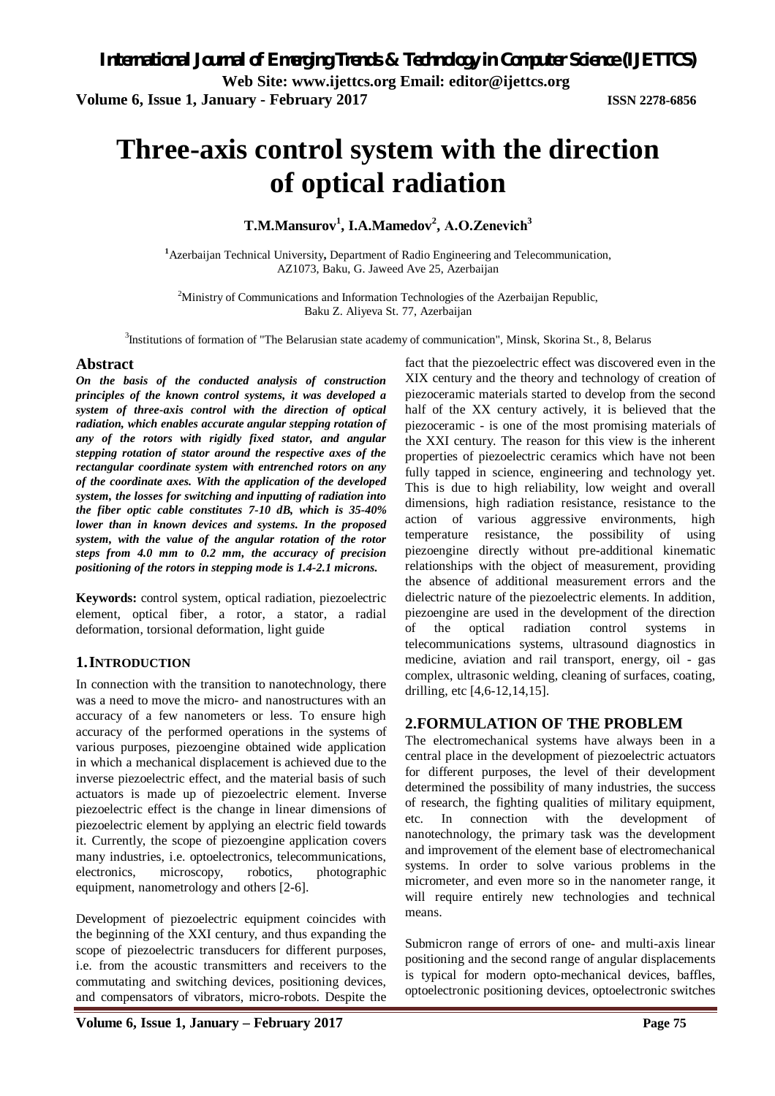# **Three-axis control system with the direction of optical radiation**

**T.M.Mansurov<sup>1</sup> , I.A.Mamedov<sup>2</sup> , А.O.Zenevich<sup>3</sup>**

**<sup>1</sup>**Azerbaijan Technical University**,** Department of Radio Engineering and Telecommunication, AZ1073, Baku, G. Jaweed Ave 25, Azerbaijan

<sup>2</sup>Ministry of Communications and Information Technologies of the Azerbaijan Republic, Baku Z. Aliyeva St. 77, Azerbaijan

<sup>3</sup>Institutions of formation of "The Belarusian state academy of communication", Minsk, Skorina St., 8, Belarus

#### **Abstract**

*On the basis of the conducted analysis of construction principles of the known control systems, it was developed a system of three-axis control with the direction of optical radiation, which enables accurate angular stepping rotation of any of the rotors with rigidly fixed stator, and angular stepping rotation of stator around the respective axes of the rectangular coordinate system with entrenched rotors on any of the coordinate axes. With the application of the developed system, the losses for switching and inputting of radiation into the fiber optic cable constitutes 7-10 dB, which is 35-40% lower than in known devices and systems. In the proposed system, with the value of the angular rotation of the rotor steps from 4.0 mm to 0.2 mm, the accuracy of precision positioning of the rotors in stepping mode is 1.4-2.1 microns.*

**Keywords:** control system, optical radiation, piezoelectric element, optical fiber, a rotor, a stator, a radial deformation, torsional deformation, light guide

#### **1.INTRODUCTION**

In connection with the transition to nanotechnology, there was a need to move the micro- and nanostructures with an accuracy of a few nanometers or less. To ensure high accuracy of the performed operations in the systems of various purposes, piezoengine obtained wide application in which a mechanical displacement is achieved due to the inverse piezoelectric effect, and the material basis of such actuators is made up of piezoelectric element. Inverse piezoelectric effect is the change in linear dimensions of piezoelectric element by applying an electric field towards it. Currently, the scope of piezoengine application covers many industries, i.e. optoelectronics, telecommunications, electronics, microscopy, robotics, photographic equipment, nanometrology and others [2-6].

Development of piezoelectric equipment coincides with the beginning of the XXI century, and thus expanding the scope of piezoelectric transducers for different purposes, i.e. from the acoustic transmitters and receivers to the commutating and switching devices, positioning devices, and compensators of vibrators, micro-robots. Despite the

fact that the piezoelectric effect was discovered even in the XIX century and the theory and technology of creation of piezoceramic materials started to develop from the second half of the XX century actively, it is believed that the piezoceramic - is one of the most promising materials of the XXI century. The reason for this view is the inherent properties of piezoelectric ceramics which have not been fully tapped in science, engineering and technology yet. This is due to high reliability, low weight and overall dimensions, high radiation resistance, resistance to the action of various aggressive environments, high temperature resistance, the possibility of using piezoengine directly without pre-additional kinematic relationships with the object of measurement, providing the absence of additional measurement errors and the dielectric nature of the piezoelectric elements. In addition, piezoengine are used in the development of the direction of the optical radiation control systems in telecommunications systems, ultrasound diagnostics in medicine, aviation and rail transport, energy, oil - gas complex, ultrasonic welding, cleaning of surfaces, coating, drilling, etc [4,6-12,14,15].

### **2.FORMULATION OF THE PROBLEM**

The electromechanical systems have always been in a central place in the development of piezoelectric actuators for different purposes, the level of their development determined the possibility of many industries, the success of research, the fighting qualities of military equipment, etc. In connection with the development of nanotechnology, the primary task was the development and improvement of the element base of electromechanical systems. In order to solve various problems in the micrometer, and even more so in the nanometer range, it will require entirely new technologies and technical means.

Submicron range of errors of one- and multi-axis linear positioning and the second range of angular displacements is typical for modern opto-mechanical devices, baffles, optoelectronic positioning devices, optoelectronic switches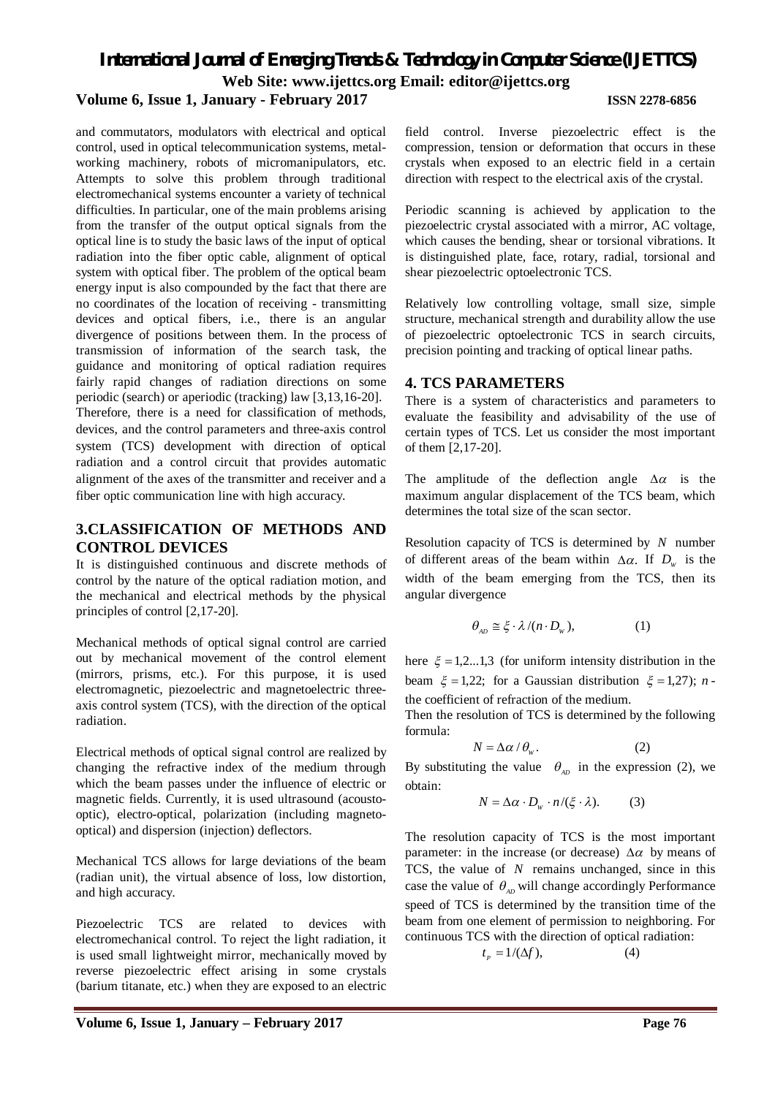*International Journal of Emerging Trends & Technology in Computer Science (IJETTCS)* **Web Site: www.ijettcs.org Email: editor@ijettcs.org Volume 6, Issue 1, January - February 2017 ISSN 2278-6856**

and commutators, modulators with electrical and optical control, used in optical telecommunication systems, metalworking machinery, robots of micromanipulators, etc. Attempts to solve this problem through traditional electromechanical systems encounter a variety of technical difficulties. In particular, one of the main problems arising from the transfer of the output optical signals from the optical line is to study the basic laws of the input of optical radiation into the fiber optic cable, alignment of optical system with optical fiber. The problem of the optical beam energy input is also compounded by the fact that there are no coordinates of the location of receiving - transmitting devices and optical fibers, i.e., there is an angular divergence of positions between them. In the process of transmission of information of the search task, the guidance and monitoring of optical radiation requires fairly rapid changes of radiation directions on some periodic (search) or aperiodic (tracking) law [3,13,16-20]. Therefore, there is a need for classification of methods, devices, and the control parameters and three-axis control system (TCS) development with direction of optical radiation and a control circuit that provides automatic alignment of the axes of the transmitter and receiver and a fiber optic communication line with high accuracy.

#### **3.CLASSIFICATION OF METHODS AND CONTROL DEVICES**

It is distinguished continuous and discrete methods of control by the nature of the optical radiation motion, and the mechanical and electrical methods by the physical principles of control [2,17-20].

Mechanical methods of optical signal control are carried out by mechanical movement of the control element (mirrors, prisms, etc.). For this purpose, it is used electromagnetic, piezoelectric and magnetoelectric threeaxis control system (TCS), with the direction of the optical radiation.

Electrical methods of optical signal control are realized by changing the refractive index of the medium through which the beam passes under the influence of electric or magnetic fields. Currently, it is used ultrasound (acoustooptic), electro-optical, polarization (including magnetooptical) and dispersion (injection) deflectors.

Mechanical TCS allows for large deviations of the beam (radian unit), the virtual absence of loss, low distortion, and high accuracy.

Piezoelectric TCS are related to devices with electromechanical control. To reject the light radiation, it is used small lightweight mirror, mechanically moved by reverse piezoelectric effect arising in some crystals (barium titanate, etc.) when they are exposed to an electric field control. Inverse piezoelectric effect is the compression, tension or deformation that occurs in these crystals when exposed to an electric field in a certain direction with respect to the electrical axis of the crystal.

Periodic scanning is achieved by application to the piezoelectric crystal associated with a mirror, AC voltage, which causes the bending, shear or torsional vibrations. It is distinguished plate, face, rotary, radial, torsional and shear piezoelectric optoelectronic TCS.

Relatively low controlling voltage, small size, simple structure, mechanical strength and durability allow the use of piezoelectric optoelectronic TCS in search circuits, precision pointing and tracking of optical linear paths.

#### **4. TCS PARAMETERS**

There is a system of characteristics and parameters to evaluate the feasibility and advisability of the use of certain types of TCS. Let us consider the most important of them [2,17-20].

The amplitude of the deflection angle  $\Delta \alpha$  is the maximum angular displacement of the TCS beam, which determines the total size of the scan sector.

Resolution capacity of TCS is determined by *N* number of different areas of the beam within  $\Delta \alpha$ . If  $D_w$  is the width of the beam emerging from the TCS, then its angular divergence

$$
\theta_{\scriptscriptstyle AD} \cong \xi \cdot \lambda / (n \cdot D_{\scriptscriptstyle W}), \tag{1}
$$

here  $\xi = 1,2...1,3$  (for uniform intensity distribution in the beam  $\xi = 1,22$ ; for a Gaussian distribution  $\xi = 1,27$ ; *n* the coefficient of refraction of the medium.

Then the resolution of TCS is determined by the following formula:

$$
N = \Delta \alpha / \theta_w. \tag{2}
$$

By substituting the value  $\theta_{AD}$  in the expression (2), we obtain:

$$
N = \Delta \alpha \cdot D_{w} \cdot n / (\xi \cdot \lambda). \tag{3}
$$

The resolution capacity of TCS is the most important parameter: in the increase (or decrease)  $\Delta \alpha$  by means of TCS, the value of *N* remains unchanged, since in this case the value of  $\theta_{\mu}$  will change accordingly Performance speed of TCS is determined by the transition time of the beam from one element of permission to neighboring. For continuous TCS with the direction of optical radiation:

$$
t_p = 1/(\Delta f), \tag{4}
$$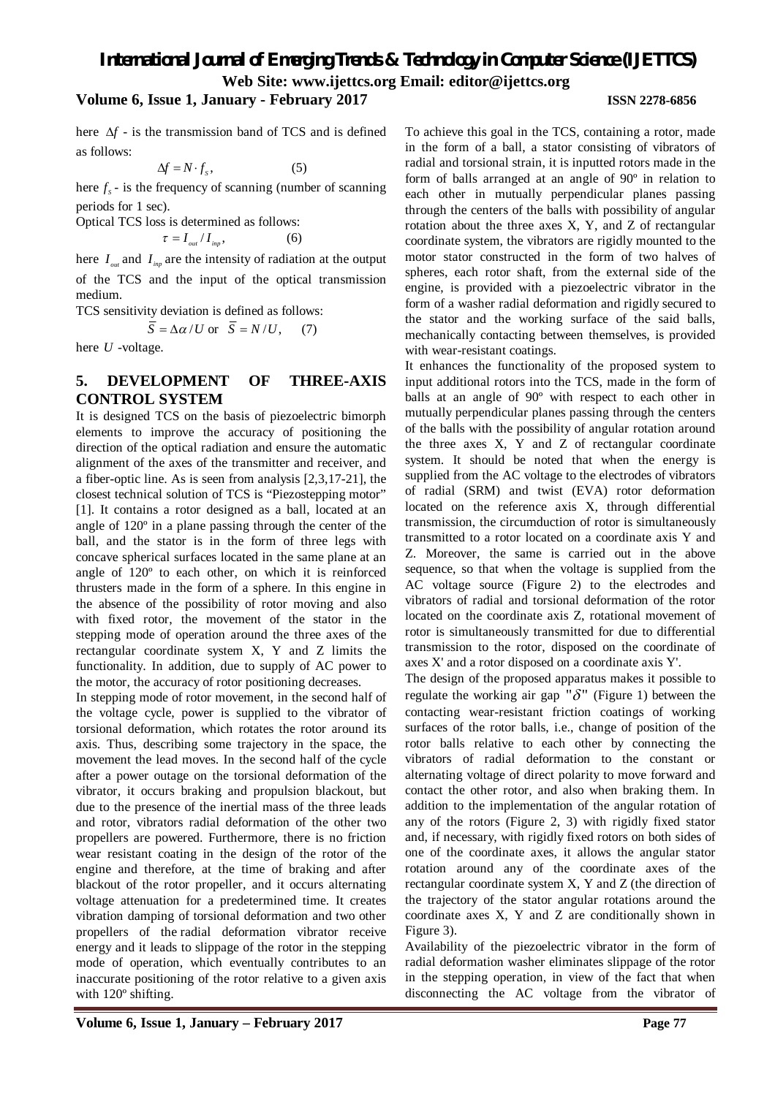## *International Journal of Emerging Trends & Technology in Computer Science (IJETTCS)*

**Web Site: www.ijettcs.org Email: editor@ijettcs.org** 

#### **Volume 6, Issue 1, January - February 2017 ISSN 2278-6856**

here  $\Delta f$  - is the transmission band of TCS and is defined as follows:

 $\Delta f = N \cdot f_s,$  (5)

here  $f_s$  - is the frequency of scanning (number of scanning periods for 1 sec).

Optical TCS loss is determined as follows:

$$
\tau = I_{_{out}}/I_{_{inp}},\tag{6}
$$

here  $I_{\text{out}}$  and  $I_{\text{inn}}$  are the intensity of radiation at the output of the TCS and the input of the optical transmission medium.

TCS sensitivity deviation is defined as follows:

$$
\overline{S} = \Delta \alpha / U \text{ or } \overline{S} = N / U, \quad (7)
$$

here *U* -voltage.

#### **5. DEVELOPMENT OF THREE-AXIS CONTROL SYSTEM**

It is designed TCS on the basis of piezoelectric bimorph elements to improve the accuracy of positioning the direction of the optical radiation and ensure the automatic alignment of the axes of the transmitter and receiver, and a fiber-optic line. As is seen from analysis [2,3,17-21], the closest technical solution of TCS is "Piezostepping motor" [1]. It contains a rotor designed as a ball, located at an angle of 120º in a plane passing through the center of the ball, and the stator is in the form of three legs with concave spherical surfaces located in the same plane at an angle of 120º to each other, on which it is reinforced thrusters made in the form of a sphere. In this engine in the absence of the possibility of rotor moving and also with fixed rotor, the movement of the stator in the stepping mode of operation around the three axes of the rectangular coordinate system X, Y and Z limits the functionality. In addition, due to supply of AC power to the motor, the accuracy of rotor positioning decreases.

In stepping mode of rotor movement, in the second half of the voltage cycle, power is supplied to the vibrator of torsional deformation, which rotates the rotor around its axis. Thus, describing some trajectory in the space, the movement the lead moves. In the second half of the cycle after a power outage on the torsional deformation of the vibrator, it occurs braking and propulsion blackout, but due to the presence of the inertial mass of the three leads and rotor, vibrators radial deformation of the other two propellers are powered. Furthermore, there is no friction wear resistant coating in the design of the rotor of the engine and therefore, at the time of braking and after blackout of the rotor propeller, and it occurs alternating voltage attenuation for a predetermined time. It creates vibration damping of torsional deformation and two other propellers of the radial deformation vibrator receive energy and it leads to slippage of the rotor in the stepping mode of operation, which eventually contributes to an inaccurate positioning of the rotor relative to a given axis with 120º shifting.

#### To achieve this goal in the TCS, containing a rotor, made in the form of a ball, a stator consisting of vibrators of radial and torsional strain, it is inputted rotors made in the form of balls arranged at an angle of 90º in relation to each other in mutually perpendicular planes passing through the centers of the balls with possibility of angular rotation about the three axes X, Y, and Z of rectangular coordinate system, the vibrators are rigidly mounted to the motor stator constructed in the form of two halves of spheres, each rotor shaft, from the external side of the engine, is provided with a piezoelectric vibrator in the form of a washer radial deformation and rigidly secured to the stator and the working surface of the said balls, mechanically contacting between themselves, is provided with wear-resistant coatings.

It enhances the functionality of the proposed system to input additional rotors into the TCS, made in the form of balls at an angle of 90º with respect to each other in mutually perpendicular planes passing through the centers of the balls with the possibility of angular rotation around the three axes X, Y and Z of rectangular coordinate system. It should be noted that when the energy is supplied from the AC voltage to the electrodes of vibrators of radial (SRM) and twist (EVA) rotor deformation located on the reference axis X, through differential transmission, the circumduction of rotor is simultaneously transmitted to a rotor located on a coordinate axis Y and Z. Moreover, the same is carried out in the above sequence, so that when the voltage is supplied from the AC voltage source (Figure 2) to the electrodes and vibrators of radial and torsional deformation of the rotor located on the coordinate axis Z, rotational movement of rotor is simultaneously transmitted for due to differential transmission to the rotor, disposed on the coordinate of axes X' and a rotor disposed on a coordinate axis Y'.

The design of the proposed apparatus makes it possible to regulate the working air gap " $\delta$ " (Figure 1) between the contacting wear-resistant friction coatings of working surfaces of the rotor balls, i.e., change of position of the rotor balls relative to each other by connecting the vibrators of radial deformation to the constant or alternating voltage of direct polarity to move forward and contact the other rotor, and also when braking them. In addition to the implementation of the angular rotation of any of the rotors (Figure 2, 3) with rigidly fixed stator and, if necessary, with rigidly fixed rotors on both sides of one of the coordinate axes, it allows the angular stator rotation around any of the coordinate axes of the rectangular coordinate system X, Y and Z (the direction of the trajectory of the stator angular rotations around the coordinate axes X, Y and Z are conditionally shown in Figure 3).

Availability of the piezoelectric vibrator in the form of radial deformation washer eliminates slippage of the rotor in the stepping operation, in view of the fact that when disconnecting the AC voltage from the vibrator of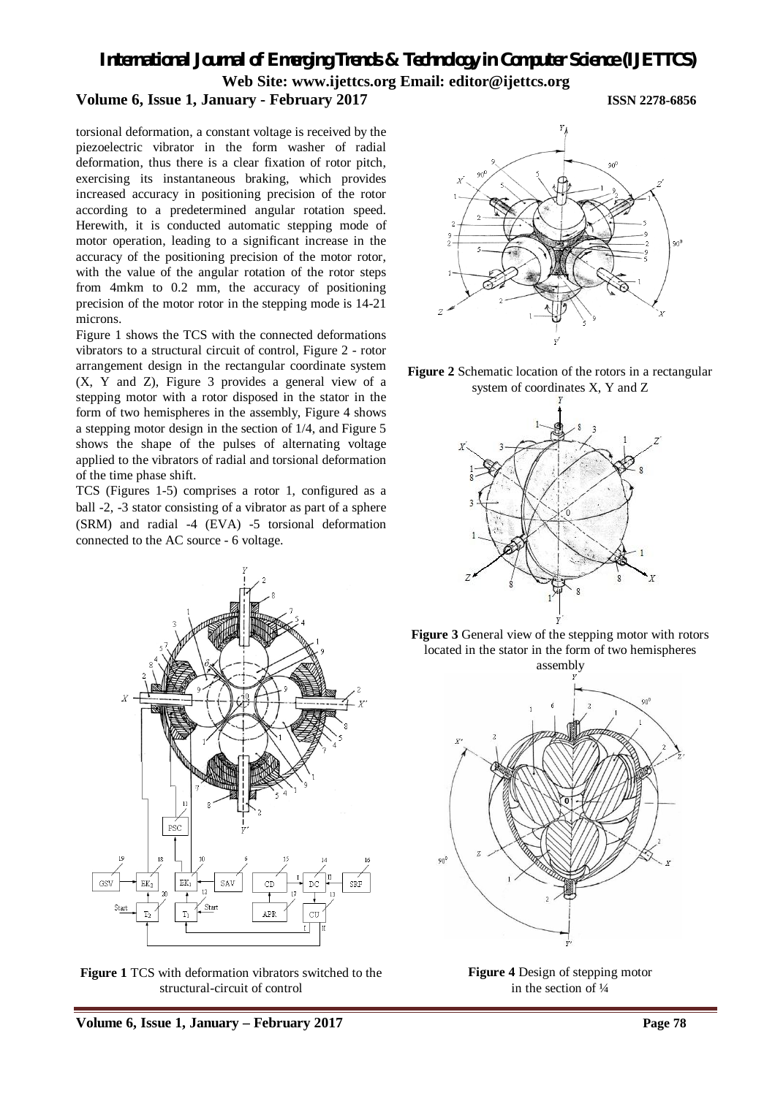*International Journal of Emerging Trends & Technology in Computer Science (IJETTCS)* **Web Site: www.ijettcs.org Email: editor@ijettcs.org** 

### **Volume 6, Issue 1, January - February 2017 ISSN 2278-6856**

torsional deformation, a constant voltage is received by the piezoelectric vibrator in the form washer of radial deformation, thus there is a clear fixation of rotor pitch, exercising its instantaneous braking, which provides increased accuracy in positioning precision of the rotor according to a predetermined angular rotation speed. Herewith, it is conducted automatic stepping mode of motor operation, leading to a significant increase in the accuracy of the positioning precision of the motor rotor, with the value of the angular rotation of the rotor steps from 4mkm to 0.2 mm, the accuracy of positioning precision of the motor rotor in the stepping mode is 14-21 microns.

Figure 1 shows the TCS with the connected deformations vibrators to a structural circuit of control, Figure 2 - rotor arrangement design in the rectangular coordinate system (X, Y and Z), Figure 3 provides a general view of a stepping motor with a rotor disposed in the stator in the form of two hemispheres in the assembly, Figure 4 shows a stepping motor design in the section of 1/4, and Figure 5 shows the shape of the pulses of alternating voltage applied to the vibrators of radial and torsional deformation of the time phase shift.

TCS (Figures 1-5) comprises a rotor 1, configured as a ball -2, -3 stator consisting of a vibrator as part of a sphere (SRM) and radial -4 (EVA) -5 torsional deformation connected to the AC source - 6 voltage.



**Figure 1** TCS with deformation vibrators switched to the structural-circuit of control











**Figure 4** Design of stepping motor in the section of ¼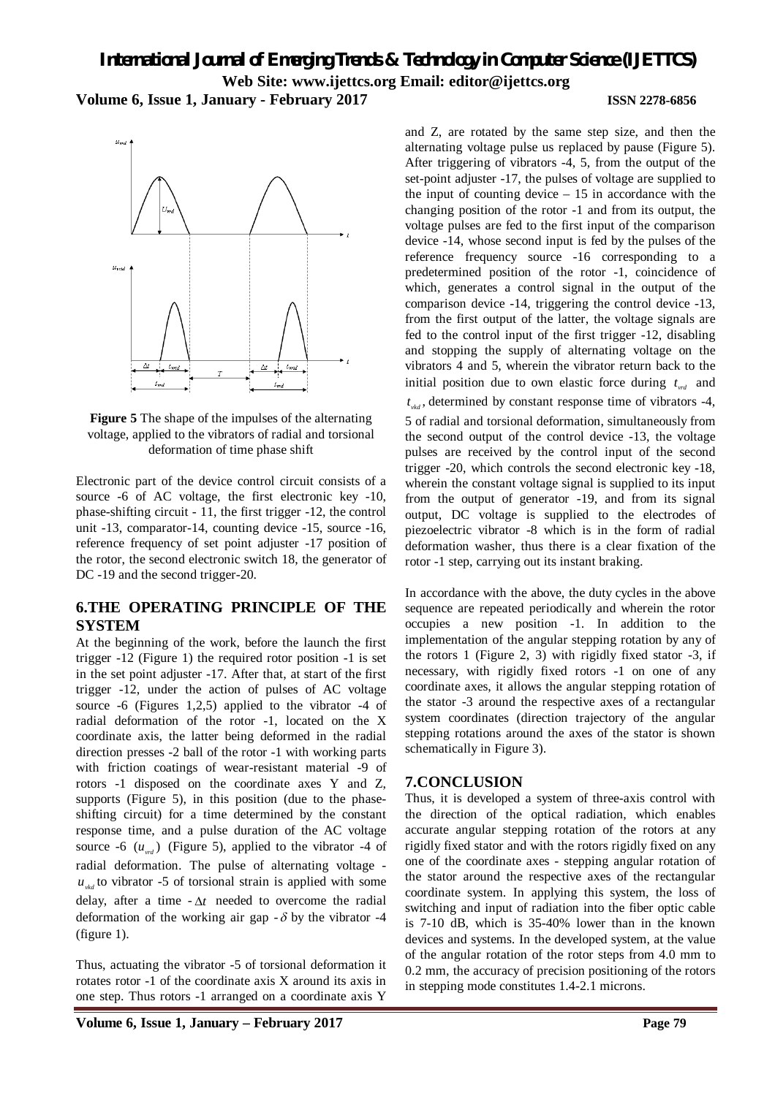*International Journal of Emerging Trends & Technology in Computer Science (IJETTCS)* **Web Site: www.ijettcs.org Email: editor@ijettcs.org Volume 6, Issue 1, January - February 2017 ISSN 2278-6856**



**Figure 5** The shape of the impulses of the alternating voltage, applied to the vibrators of radial and torsional deformation of time phase shift

Electronic part of the device control circuit consists of a source -6 of AC voltage, the first electronic key -10, phase-shifting circuit - 11, the first trigger -12, the control unit -13, comparator-14, counting device -15, source -16, reference frequency of set point adjuster -17 position of the rotor, the second electronic switch 18, the generator of DC -19 and the second trigger-20.

#### **6.THE OPERATING PRINCIPLE OF THE SYSTEM**

At the beginning of the work, before the launch the first trigger -12 (Figure 1) the required rotor position -1 is set in the set point adjuster -17. After that, at start of the first trigger -12, under the action of pulses of AC voltage source -6 (Figures 1,2,5) applied to the vibrator -4 of radial deformation of the rotor -1, located on the X coordinate axis, the latter being deformed in the radial direction presses -2 ball of the rotor -1 with working parts with friction coatings of wear-resistant material -9 of rotors -1 disposed on the coordinate axes Y and Z, supports (Figure 5), in this position (due to the phaseshifting circuit) for a time determined by the constant response time, and a pulse duration of the AC voltage source -6  $(u_{\text{val}})$  (Figure 5), applied to the vibrator -4 of radial deformation. The pulse of alternating voltage  $u_{\alpha}$  to vibrator -5 of torsional strain is applied with some delay, after a time  $-\Delta t$  needed to overcome the radial deformation of the working air gap  $-\delta$  by the vibrator -4 (figure 1).

Thus, actuating the vibrator -5 of torsional deformation it rotates rotor -1 of the coordinate axis X around its axis in one step. Thus rotors -1 arranged on a coordinate axis Y

and Z, are rotated by the same step size, and then the alternating voltage pulse us replaced by pause (Figure 5). After triggering of vibrators -4, 5, from the output of the set-point adjuster -17, the pulses of voltage are supplied to the input of counting device  $-15$  in accordance with the changing position of the rotor -1 and from its output, the voltage pulses are fed to the first input of the comparison device -14, whose second input is fed by the pulses of the reference frequency source -16 corresponding to a predetermined position of the rotor -1, coincidence of which, generates a control signal in the output of the comparison device -14, triggering the control device -13, from the first output of the latter, the voltage signals are fed to the control input of the first trigger -12, disabling and stopping the supply of alternating voltage on the vibrators 4 and 5, wherein the vibrator return back to the initial position due to own elastic force during  $t_{\text{wd}}$  and  $t_{\nu k d}$ , determined by constant response time of vibrators -4, 5 of radial and torsional deformation, simultaneously from the second output of the control device -13, the voltage pulses are received by the control input of the second trigger -20, which controls the second electronic key -18, wherein the constant voltage signal is supplied to its input from the output of generator -19, and from its signal output, DC voltage is supplied to the electrodes of piezoelectric vibrator -8 which is in the form of radial deformation washer, thus there is a clear fixation of the rotor -1 step, carrying out its instant braking.

In accordance with the above, the duty cycles in the above sequence are repeated periodically and wherein the rotor occupies a new position -1. In addition to the implementation of the angular stepping rotation by any of the rotors 1 (Figure 2, 3) with rigidly fixed stator -3, if necessary, with rigidly fixed rotors -1 on one of any coordinate axes, it allows the angular stepping rotation of the stator -3 around the respective axes of a rectangular system coordinates (direction trajectory of the angular stepping rotations around the axes of the stator is shown schematically in Figure 3).

#### **7.CONCLUSION**

Thus, it is developed a system of three-axis control with the direction of the optical radiation, which enables accurate angular stepping rotation of the rotors at any rigidly fixed stator and with the rotors rigidly fixed on any one of the coordinate axes - stepping angular rotation of the stator around the respective axes of the rectangular coordinate system. In applying this system, the loss of switching and input of radiation into the fiber optic cable is 7-10 dB, which is 35-40% lower than in the known devices and systems. In the developed system, at the value of the angular rotation of the rotor steps from 4.0 mm to 0.2 mm, the accuracy of precision positioning of the rotors in stepping mode constitutes 1.4-2.1 microns.